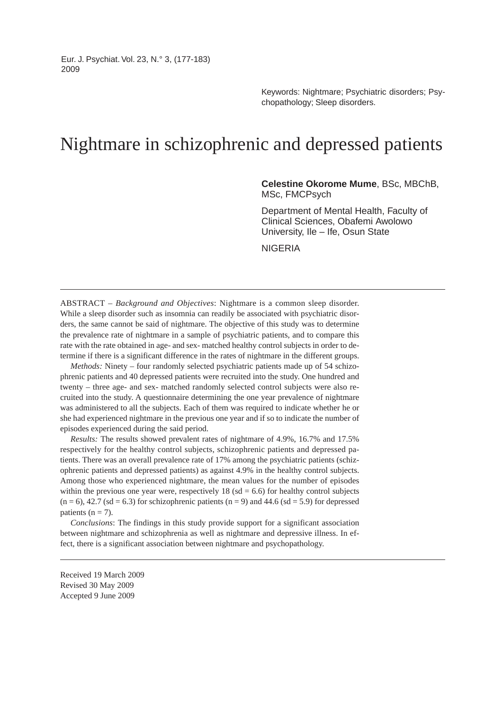Eur. J. Psychiat. Vol. 23, N.° 3, (177-183) 2009

> Keywords: Nightmare; Psychiatric disorders; Psychopathology; Sleep disorders.

# Nightmare in schizophrenic and depressed patients

**Celestine Okorome Mume**, BSc, MBChB, MSc, FMCPsych

Department of Mental Health, Faculty of Clinical Sciences, Obafemi Awolowo University, Ile – Ife, Osun State

NIGERIA

ABSTRACT – *Background and Objectives*: Nightmare is a common sleep disorder. While a sleep disorder such as insomnia can readily be associated with psychiatric disorders, the same cannot be said of nightmare. The objective of this study was to determine the prevalence rate of nightmare in a sample of psychiatric patients, and to compare this rate with the rate obtained in age- and sex- matched healthy control subjects in order to determine if there is a significant difference in the rates of nightmare in the different groups.

*Methods:* Ninety – four randomly selected psychiatric patients made up of 54 schizophrenic patients and 40 depressed patients were recruited into the study. One hundred and twenty – three age- and sex- matched randomly selected control subjects were also recruited into the study. A questionnaire determining the one year prevalence of nightmare was administered to all the subjects. Each of them was required to indicate whether he or she had experienced nightmare in the previous one year and if so to indicate the number of episodes experienced during the said period.

*Results:* The results showed prevalent rates of nightmare of 4.9%, 16.7% and 17.5% respectively for the healthy control subjects, schizophrenic patients and depressed patients. There was an overall prevalence rate of 17% among the psychiatric patients (schizophrenic patients and depressed patients) as against 4.9% in the healthy control subjects. Among those who experienced nightmare, the mean values for the number of episodes within the previous one year were, respectively  $18$  (sd = 6.6) for healthy control subjects  $(n = 6)$ , 42.7 (sd = 6.3) for schizophrenic patients  $(n = 9)$  and 44.6 (sd = 5.9) for depressed patients ( $n = 7$ ).

*Conclusions*: The findings in this study provide support for a significant association between nightmare and schizophrenia as well as nightmare and depressive illness. In effect, there is a significant association between nightmare and psychopathology.

Received 19 March 2009 Revised 30 May 2009 Accepted 9 June 2009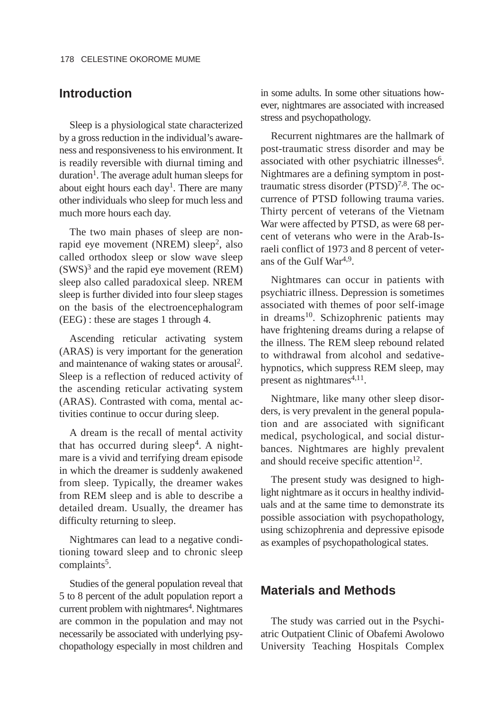## **Introduction**

Sleep is a physiological state characterized by a gross reduction in the individual's awareness and responsiveness to his environment. It is readily reversible with diurnal timing and  $duration<sup>1</sup>$ . The average adult human sleeps for about eight hours each  $day<sup>1</sup>$ . There are many other individuals who sleep for much less and much more hours each day.

The two main phases of sleep are nonrapid eye movement (NREM) sleep<sup>2</sup>, also called orthodox sleep or slow wave sleep  $(SWS)^3$  and the rapid eye movement (REM) sleep also called paradoxical sleep. NREM sleep is further divided into four sleep stages on the basis of the electroencephalogram (EEG) : these are stages 1 through 4.

Ascending reticular activating system (ARAS) is very important for the generation and maintenance of waking states or arousal2. Sleep is a reflection of reduced activity of the ascending reticular activating system (ARAS). Contrasted with coma, mental activities continue to occur during sleep.

A dream is the recall of mental activity that has occurred during sleep<sup>4</sup>. A nightmare is a vivid and terrifying dream episode in which the dreamer is suddenly awakened from sleep. Typically, the dreamer wakes from REM sleep and is able to describe a detailed dream. Usually, the dreamer has difficulty returning to sleep.

Nightmares can lead to a negative conditioning toward sleep and to chronic sleep complaints<sup>5</sup>.

Studies of the general population reveal that 5 to 8 percent of the adult population report a current problem with nightmares<sup>4</sup>. Nightmares are common in the population and may not necessarily be associated with underlying psychopathology especially in most children and in some adults. In some other situations however, nightmares are associated with increased stress and psychopathology.

Recurrent nightmares are the hallmark of post-traumatic stress disorder and may be associated with other psychiatric illnesses<sup>6</sup>. Nightmares are a defining symptom in posttraumatic stress disorder  $(PTSD)<sup>7,8</sup>$ . The occurrence of PTSD following trauma varies. Thirty percent of veterans of the Vietnam War were affected by PTSD, as were 68 percent of veterans who were in the Arab-Israeli conflict of 1973 and 8 percent of veterans of the Gulf War4,9.

Nightmares can occur in patients with psychiatric illness. Depression is sometimes associated with themes of poor self-image in dreams<sup>10</sup>. Schizophrenic patients may have frightening dreams during a relapse of the illness. The REM sleep rebound related to withdrawal from alcohol and sedativehypnotics, which suppress REM sleep, may present as nightmares $4,11$ .

Nightmare, like many other sleep disorders, is very prevalent in the general population and are associated with significant medical, psychological, and social disturbances. Nightmares are highly prevalent and should receive specific attention $12$ .

The present study was designed to highlight nightmare as it occurs in healthy individuals and at the same time to demonstrate its possible association with psychopathology, using schizophrenia and depressive episode as examples of psychopathological states.

### **Materials and Methods**

The study was carried out in the Psychiatric Outpatient Clinic of Obafemi Awolowo University Teaching Hospitals Complex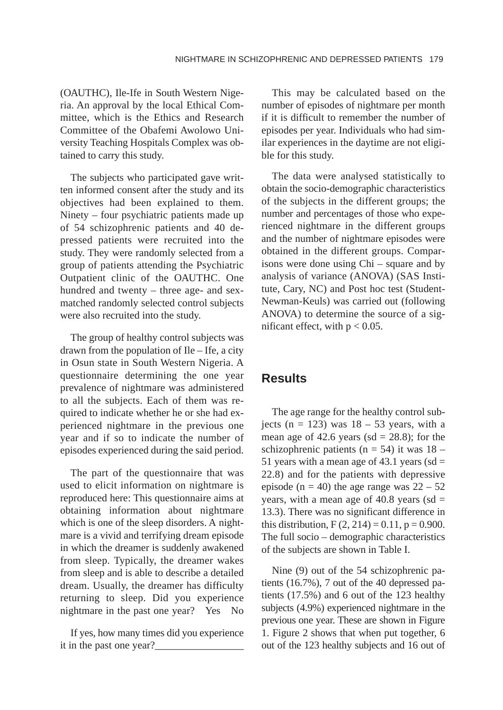(OAUTHC), Ile-Ife in South Western Nigeria. An approval by the local Ethical Committee, which is the Ethics and Research Committee of the Obafemi Awolowo University Teaching Hospitals Complex was obtained to carry this study.

The subjects who participated gave written informed consent after the study and its objectives had been explained to them. Ninety – four psychiatric patients made up of 54 schizophrenic patients and 40 depressed patients were recruited into the study. They were randomly selected from a group of patients attending the Psychiatric Outpatient clinic of the OAUTHC. One hundred and twenty – three age- and sexmatched randomly selected control subjects were also recruited into the study.

The group of healthy control subjects was drawn from the population of Ile – Ife, a city in Osun state in South Western Nigeria. A questionnaire determining the one year prevalence of nightmare was administered to all the subjects. Each of them was required to indicate whether he or she had experienced nightmare in the previous one year and if so to indicate the number of episodes experienced during the said period.

The part of the questionnaire that was used to elicit information on nightmare is reproduced here: This questionnaire aims at obtaining information about nightmare which is one of the sleep disorders. A nightmare is a vivid and terrifying dream episode in which the dreamer is suddenly awakened from sleep. Typically, the dreamer wakes from sleep and is able to describe a detailed dream. Usually, the dreamer has difficulty returning to sleep. Did you experience nightmare in the past one year? Yes No

If yes, how many times did you experience it in the past one year?

This may be calculated based on the number of episodes of nightmare per month if it is difficult to remember the number of episodes per year. Individuals who had similar experiences in the daytime are not eligible for this study.

The data were analysed statistically to obtain the socio-demographic characteristics of the subjects in the different groups; the number and percentages of those who experienced nightmare in the different groups and the number of nightmare episodes were obtained in the different groups. Comparisons were done using Chi – square and by analysis of variance (ANOVA) (SAS Institute, Cary, NC) and Post hoc test (Student-Newman-Keuls) was carried out (following ANOVA) to determine the source of a significant effect, with  $p < 0.05$ .

### **Results**

The age range for the healthy control subjects ( $n = 123$ ) was  $18 - 53$  years, with a mean age of 42.6 years (sd =  $28.8$ ); for the schizophrenic patients ( $n = 54$ ) it was 18 – 51 years with a mean age of 43.1 years (sd  $=$ 22.8) and for the patients with depressive episode (n = 40) the age range was  $22 - 52$ years, with a mean age of  $40.8$  years (sd = 13.3). There was no significant difference in this distribution,  $F(2, 214) = 0.11$ ,  $p = 0.900$ . The full socio – demographic characteristics of the subjects are shown in Table I.

Nine (9) out of the 54 schizophrenic patients (16.7%), 7 out of the 40 depressed patients (17.5%) and 6 out of the 123 healthy subjects (4.9%) experienced nightmare in the previous one year. These are shown in Figure 1. Figure 2 shows that when put together, 6 out of the 123 healthy subjects and 16 out of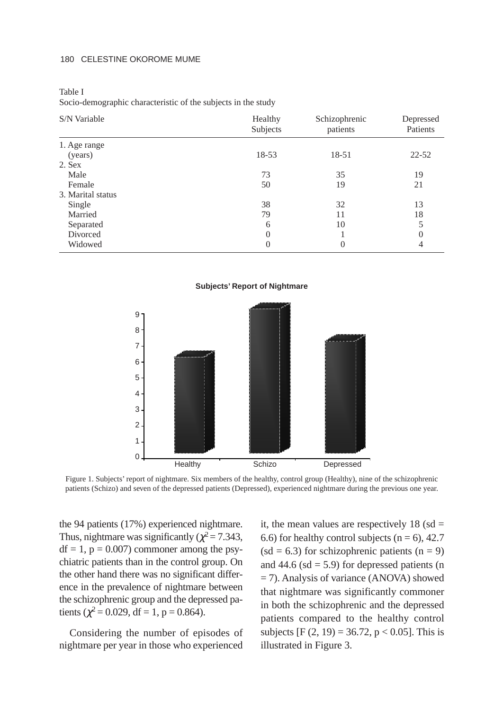#### 180 CELESTINE OKOROME MUME

Table I Socio-demographic characteristic of the subjects in the study

| S/N Variable      | Healthy<br>Subjects | Schizophrenic<br>patients | Depressed<br>Patients |
|-------------------|---------------------|---------------------------|-----------------------|
| 1. Age range      |                     |                           |                       |
| (years)           | 18-53               | 18-51                     | $22 - 52$             |
| 2. Sex            |                     |                           |                       |
| Male              | 73                  | 35                        | 19                    |
| Female            | 50                  | 19                        | 21                    |
| 3. Marital status |                     |                           |                       |
| Single            | 38                  | 32                        | 13                    |
| Married           | 79                  | 11                        | 18                    |
| Separated         | 6                   | 10                        | 5                     |
| Divorced          | $\overline{0}$      |                           | 0                     |
| Widowed           | 0                   | $\theta$                  | 4                     |



**Subjects' Report of Nightmare**

Figure 1. Subjects' report of nightmare. Six members of the healthy, control group (Healthy), nine of the schizophrenic patients (Schizo) and seven of the depressed patients (Depressed), experienced nightmare during the previous one year.

the 94 patients (17%) experienced nightmare. Thus, nightmare was significantly ( $\chi^2$  = 7.343,  $df = 1$ ,  $p = 0.007$ ) commoner among the psychiatric patients than in the control group. On the other hand there was no significant difference in the prevalence of nightmare between the schizophrenic group and the depressed patients ( $\chi^2$  = 0.029, df = 1, p = 0.864).

Considering the number of episodes of nightmare per year in those who experienced it, the mean values are respectively  $18$  (sd = 6.6) for healthy control subjects ( $n = 6$ ), 42.7  $(sd = 6.3)$  for schizophrenic patients  $(n = 9)$ and 44.6 ( $sd = 5.9$ ) for depressed patients (n = 7). Analysis of variance (ANOVA) showed that nightmare was significantly commoner in both the schizophrenic and the depressed patients compared to the healthy control subjects [F  $(2, 19) = 36.72$ , p < 0.05]. This is illustrated in Figure 3.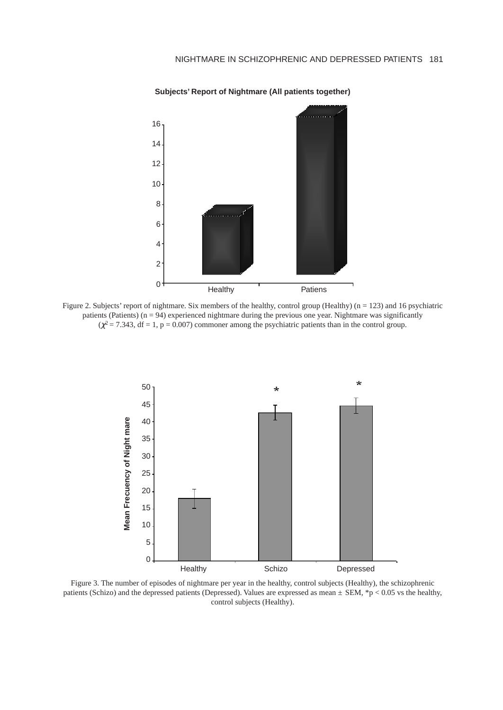

#### **Subjects' Report of Nightmare (All patients together)**

Figure 2. Subjects' report of nightmare. Six members of the healthy, control group (Healthy) (n = 123) and 16 psychiatric patients (Patients)  $(n = 94)$  experienced nightmare during the previous one year. Nightmare was significantly  $(\chi^2 = 7.343, df = 1, p = 0.007)$  commoner among the psychiatric patients than in the control group.



Figure 3. The number of episodes of nightmare per year in the healthy, control subjects (Healthy), the schizophrenic patients (Schizo) and the depressed patients (Depressed). Values are expressed as mean *±* SEM, \*p < 0.05 vs the healthy, control subjects (Healthy).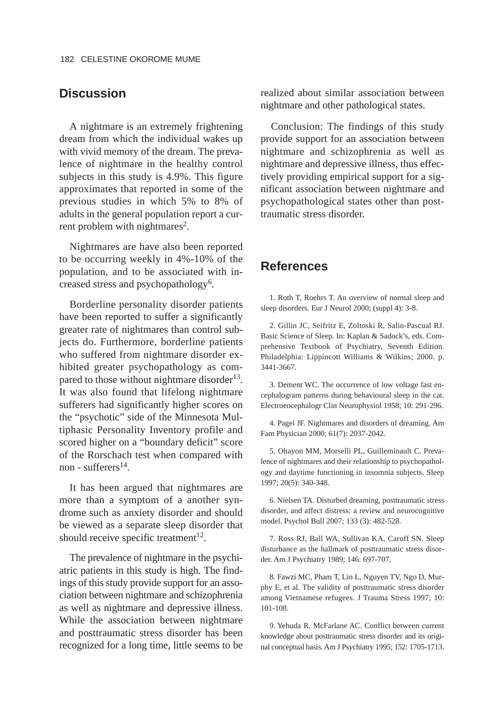# **Discussion**

A nightmare is an extremely frightening dream from which the individual wakes up with vivid memory of the dream. The prevalence of nightmare in the healthy control subjects in this study is 4.9%. This figure approximates that reported in some of the previous studies in which 5% to 8% of adults in the general population report a current problem with nightmares<sup>2</sup>.

Nightmares are have also been reported to be occurring weekly in 4%-10% of the population, and to be associated with increased stress and psychopathology<sup>6</sup>.

Borderline personality disorder patients have been reported to suffer a significantly greater rate of nightmares than control subjects do. Furthermore, borderline patients who suffered from nightmare disorder exhibited greater psychopathology as compared to those without nightmare disorder<sup>13</sup>. It was also found that lifelong nightmare sufferers had significantly higher scores on the "psychotic" side of the Minnesota Multiphasic Personality Inventory profile and scored higher on a "boundary deficit" score of the Rorschach test when compared with non - sufferers<sup>14</sup>

It has been argued that nightmares are more than a symptom of a another syndrome such as anxiety disorder and should be viewed as a separate sleep disorder that should receive specific treatment $12$ .

The prevalence of nightmare in the psychiatric patients in this study is high. The findings of this study provide support for an association between nightmare and schizophrenia as well as nightmare and depressive illness. While the association between nightmare and posttraumatic stress disorder has been recognized for a long time, little seems to be realized about similar association between nightmare and other pathological states.

Conclusion: The findings of this study provide support for an association between nightmare and schizophrenia as well as nightmare and depressive illness, thus effectively providing empirical support for a significant association between nightmare and psychopathological states other than posttraumatic stress disorder.

## **References**

1. Roth T, Roehrs T. An overview of normal sleep and sleep disorders. Eur J Neurol 2000; (suppl 4): 3-8.

2. Gillin JC, Seifritz E, Zoltoski R, Salin-Pascual RJ. Basic Science of Sleep. In: Kaplan & Sadock's, eds. Comprehensive Textbook of Psychiatry, Seventh Edition. Philadelphia: Lippincott Williams & Wilkins; 2000. p. 3441-3667.

3. Dement WC. The occurrence of low voltage fast encephalogram patterns during behavioural sleep in the cat. Electroencephalogr Clin Neurophysiol 1958; 10: 291-296.

4. Pagel JF. Nightmares and disorders of dreaming. Am Fam Physician 2000; 61(7): 2037-2042.

5. Ohayon MM, Morselli PL, Guilleminault C. Prevalence of nightmares and their relationship to psychopathology and daytime functioning in insomnia subjects. Sleep 1997; 20(5): 340-348.

6. Nielsen TA. Disturbed dreaming, posttraumatic stress disorder, and affect distress: a review and neurocognitive model. Psychol Bull 2007; 133 (3): 482-528.

7. Ross RJ, Ball WA, Sullivan KA, Caroff SN. Sleep disturbance as the hallmark of posttraumatic stress disorder. Am J Psychiatry 1989; 146: 697-707.

8. Fawzi MC, Pham T, Lin L, Nguyen TV, Ngo D, Murphy E, et al. The validity of posttraumatic stress disorder among Vietnamese refugees. J Trauma Stress 1997; 10: 101-108.

9. Yehuda R, McFarlane AC. Conflict between current knowledge about posttraumatic stress disorder and its original conceptual basis. Am J Psychiatry 1995; 152: 1705-1713.